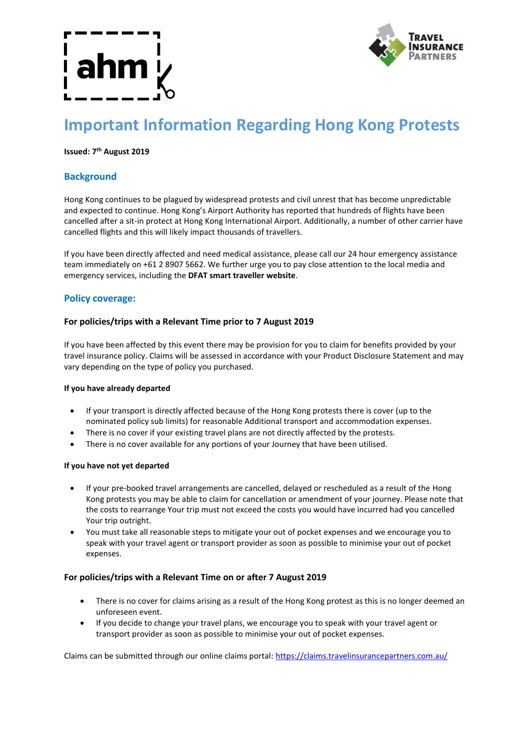

# **Important Information Regarding Hong Kong Protests**

### **Issued: 7 th August 2019**

# **Background**

Hong Kong continues to be plagued by widespread protests and civil unrest that has become unpredictable and expected to continue. Hong Kong's Airport Authority has reported that hundreds of flights have been cancelled after a sit-in protect at Hong Kong International Airport. Additionally, a number of other carrier have cancelled flights and this will likely impact thousands of travellers.

If you have been directly affected and need medical assistance, please call our 24 hour emergency assistance team immediately on +61 2 8907 5662. We further urge you to pay close attention to the local media and emergency services, including the **DFAT smart traveller website**.

## **Policy coverage:**

### **For policies/trips with a Relevant Time prior to 7 August 2019**

If you have been affected by this event there may be provision for you to claim for benefits provided by your travel insurance policy. Claims will be assessed in accordance with your Product Disclosure Statement and may vary depending on the type of policy you purchased.

### **If you have already departed**

- If your transport is directly affected because of the Hong Kong protests there is cover (up to the nominated policy sub limits) for reasonable Additional transport and accommodation expenses.
- There is no cover if your existing travel plans are not directly affected by the protests.
- There is no cover available for any portions of your Journey that have been utilised.

### **If you have not yet departed**

- If your pre-booked travel arrangements are cancelled, delayed or rescheduled as a result of the Hong Kong protests you may be able to claim for cancellation or amendment of your journey. Please note that the costs to rearrange Your trip must not exceed the costs you would have incurred had you cancelled Your trip outright.
- You must take all reasonable steps to mitigate your out of pocket expenses and we encourage you to speak with your travel agent or transport provider as soon as possible to minimise your out of pocket expenses.

### **For policies/trips with a Relevant Time on or after 7 August 2019**

- There is no cover for claims arising as a result of the Hong Kong protest as this is no longer deemed an unforeseen event.
- If you decide to change your travel plans, we encourage you to speak with your travel agent or transport provider as soon as possible to minimise your out of pocket expenses.

Claims can be submitted through our online claims portal[: https://claims.travelinsurancepartners.com.au/](https://claims.travelinsurancepartners.com.au/)